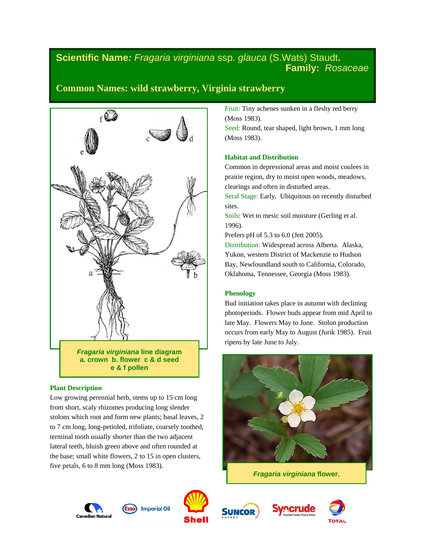# **Scientific Name***: Fragaria virginiana* ssp. *glauca* (S.Wats) Staudt**. Family:** *Rosaceae*

# **Common Names: wild strawberry, Virginia strawberry**



**a. crown b. flower c & d seed e & f pollen**

## **Plant Description**

Low growing perennial herb, stems up to 15 cm long from short, scaly rhizomes producing long slender stolons which root and form new plants; basal leaves, 2 to 7 cm long, long-petioled, trifoliate, coarsely toothed, terminal tooth usually shorter than the two adjacent lateral teeth, bluish green above and often rounded at the base; small white flowers, 2 to 15 in open clusters, five petals, 6 to 8 mm long (Moss 1983).

Fruit: Tiny achenes sunken in a fleshy red berry (Moss 1983).

Seed: Round, tear shaped, light brown, 1 mm long (Moss 1983).

### **Habitat and Distribution**

Common in depressional areas and moist coulees in prairie region, dry to moist open woods, meadows, clearings and often in disturbed areas.

Seral Stage: Early. Ubiquitous on recently disturbed sites.

Soils: Wet to mesic soil moisture (Gerling et al. 1996).

Prefers pH of 5.3 to 6.0 (Jett 2005).

Distribution: Widespread across Alberta. Alaska, Yukon, western District of Mackenzie to Hudson Bay, Newfoundland south to California, Colorado, Oklahoma, Tennessee, Georgia (Moss 1983).

## **Phenology**

Bud initiation takes place in autumn with declining photoperiods. Flower buds appear from mid April to late May. Flowers May to June. Stolon production occurs from early May to August (Jurik 1985). Fruit ripens by late June to July.



*Fragaria virginiana* **flower.**









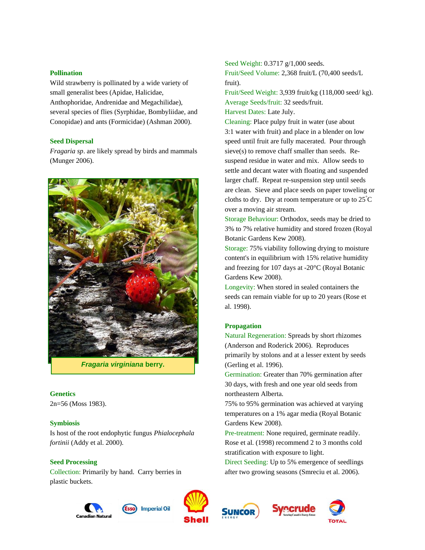#### **Pollination**

Wild strawberry is pollinated by a wide variety of small generalist bees (Apidae, Halicidae, Anthophoridae, Andrenidae and Megachilidae), several species of flies (Syrphidae, Bombyliidae, and Conopidae) and ants (Formicidae) (Ashman 2000).

## **Seed Dispersal**

*Fragaria sp*. are likely spread by birds and mammals (Munger 2006).



*Fragaria virginiana* **berry.**

### **Genetics**

2n=56 (Moss 1983).

### **Symbiosis**

Is host of the root endophytic fungus *Phialocephala fortinii* (Addy et al. 2000).

## **Seed Processing**

Collection: Primarily by hand. Carry berries in plastic buckets.





**Imperial Oil** 

Seed Weight: 0.3717 g/1,000 seeds.

Fruit/Seed Volume: 2,368 fruit/L (70,400 seeds/L fruit).

Fruit/Seed Weight: 3,939 fruit/kg (118,000 seed/ kg). Average Seeds/fruit: 32 seeds/fruit. Harvest Dates: Late July.

Cleaning: Place pulpy fruit in water (use about 3:1 water with fruit) and place in a blender on low speed until fruit are fully macerated. Pour through sieve(s) to remove chaff smaller than seeds. Resuspend residue in water and mix. Allow seeds to settle and decant water with floating and suspended larger chaff. Repeat re-suspension step until seeds are clean. Sieve and place seeds on paper toweling or cloths to dry. Dry at room temperature or up to  $25^{\circ}$ C over a moving air stream.

Storage Behaviour: Orthodox, seeds may be dried to 3% to 7% relative humidity and stored frozen (Royal Botanic Gardens Kew 2008).

Storage: 75% viability following drying to moisture content's in equilibrium with 15% relative humidity and freezing for 107 days at -20°C (Royal Botanic Gardens Kew 2008).

Longevity: When stored in sealed containers the seeds can remain viable for up to 20 years (Rose et al. 1998).

### **Propagation**

Natural Regeneration: Spreads by short rhizomes (Anderson and Roderick 2006). Reproduces primarily by stolons and at a lesser extent by seeds (Gerling et al. 1996).

Germination: Greater than 70% germination after 30 days, with fresh and one year old seeds from northeastern Alberta.

75% to 95% germination was achieved at varying temperatures on a 1% agar media (Royal Botanic Gardens Kew 2008).

Pre-treatment: None required, germinate readily. Rose et al. (1998) recommend 2 to 3 months cold stratification with exposure to light.

Direct Seeding: Up to 5% emergence of seedlings after two growing seasons (Smreciu et al. 2006).





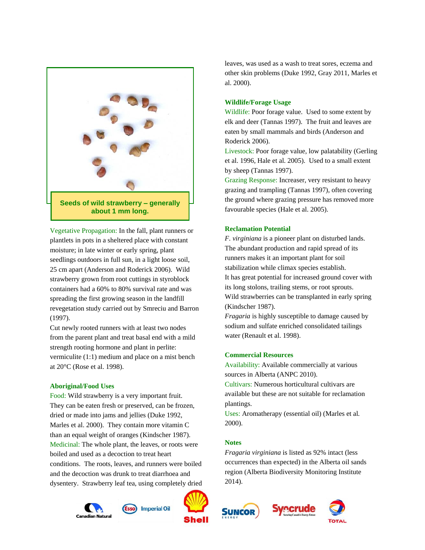

Vegetative Propagation: In the fall, plant runners or plantlets in pots in a sheltered place with constant moisture; in late winter or early spring, plant seedlings outdoors in full sun, in a light loose soil, 25 cm apart (Anderson and Roderick 2006). Wild strawberry grown from root cuttings in styroblock containers had a 60% to 80% survival rate and was spreading the first growing season in the landfill revegetation study carried out by Smreciu and Barron (1997).

Cut newly rooted runners with at least two nodes from the parent plant and treat basal end with a mild strength rooting hormone and plant in perlite: vermiculite (1:1) medium and place on a mist bench at 20°C (Rose et al. 1998).

#### **Aboriginal/Food Uses**

Food: Wild strawberry is a very important fruit. They can be eaten fresh or preserved, can be frozen, dried or made into jams and jellies (Duke 1992, Marles et al. 2000). They contain more vitamin C than an equal weight of oranges (Kindscher 1987). Medicinal: The whole plant, the leaves, or roots were boiled and used as a decoction to treat heart conditions. The roots, leaves, and runners were boiled and the decoction was drunk to treat diarrhoea and dysentery. Strawberry leaf tea, using completely dried

(Esso) Imperial Oil



leaves, was used as a wash to treat sores, eczema and other skin problems (Duke 1992, Gray 2011, Marles et al. 2000).

#### **Wildlife/Forage Usage**

Wildlife: Poor forage value. Used to some extent by elk and deer (Tannas 1997). The fruit and leaves are eaten by small mammals and birds (Anderson and Roderick 2006).

Livestock: Poor forage value, low palatability (Gerling et al. 1996, Hale et al. 2005). Used to a small extent by sheep (Tannas 1997).

Grazing Response: Increaser, very resistant to heavy grazing and trampling (Tannas 1997), often covering the ground where grazing pressure has removed more favourable species (Hale et al. 2005).

#### **Reclamation Potential**

*F. virginiana* is a pioneer plant on disturbed lands. The abundant production and rapid spread of its runners makes it an important plant for soil stabilization while climax species establish. It has great potential for increased ground cover with its long stolons, trailing stems, or root sprouts. Wild strawberries can be transplanted in early spring (Kindscher 1987).

*Fragaria* is highly susceptible to damage caused by sodium and sulfate enriched consolidated tailings water (Renault et al. 1998).

### **Commercial Resources**

Availability: Available commercially at various sources in Alberta (ANPC 2010).

Cultivars: Numerous horticultural cultivars are available but these are not suitable for reclamation plantings.

Uses: Aromatherapy (essential oil) (Marles et al*.* 2000).

## **Notes**

SUNCOR

*Fragaria virginiana* is listed as 92% intact (less occurrences than expected) in the Alberta oil sands region (Alberta Biodiversity Monitoring Institute 2014).



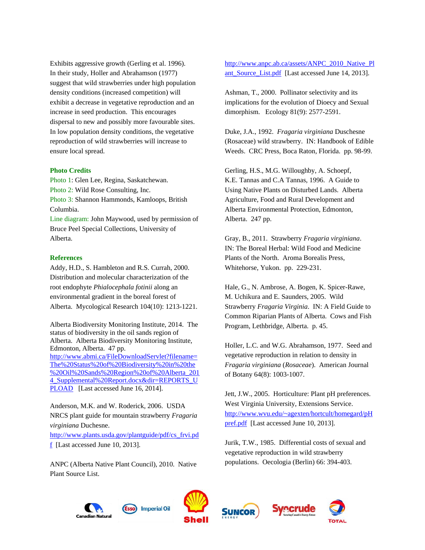Exhibits aggressive growth (Gerling et al. 1996). In their study, Holler and Abrahamson (1977) suggest that wild strawberries under high population density conditions (increased competition) will exhibit a decrease in vegetative reproduction and an increase in seed production. This encourages dispersal to new and possibly more favourable sites. In low population density conditions, the vegetative reproduction of wild strawberries will increase to ensure local spread.

#### **Photo Credits**

Photo 1: Glen Lee, Regina, Saskatchewan. Photo 2: Wild Rose Consulting, Inc. Photo 3: Shannon Hammonds, Kamloops, British Columbia. Line diagram: John Maywood, used by permission of Bruce Peel Special Collections, University of Alberta.

#### **References**

Addy, H.D., S. Hambleton and R.S. Currah, 2000. Distribution and molecular characterization of the root endophyte *Phialocephala fotinii* along an environmental gradient in the boreal forest of Alberta. Mycological Research 104(10): 1213-1221.

Alberta Biodiversity Monitoring Institute, 2014. The status of biodiversity in the oil sands region of Alberta. Alberta Biodiversity Monitoring Institute, Edmonton, Alberta. 47 pp. [http://www.abmi.ca/FileDownloadServlet?filename=](http://www.abmi.ca/FileDownloadServlet?filename=The%20Status%20of%20Biodiversity%20in%20the%20Oil%20Sands%20Region%20of%20Alberta_2014_Supplemental%20Report.docx&dir=REPORTS_UPLOAD) [The%20Status%20of%20Biodiversity%20in%20the](http://www.abmi.ca/FileDownloadServlet?filename=The%20Status%20of%20Biodiversity%20in%20the%20Oil%20Sands%20Region%20of%20Alberta_2014_Supplemental%20Report.docx&dir=REPORTS_UPLOAD) [%20Oil%20Sands%20Region%20of%20Alberta\\_201](http://www.abmi.ca/FileDownloadServlet?filename=The%20Status%20of%20Biodiversity%20in%20the%20Oil%20Sands%20Region%20of%20Alberta_2014_Supplemental%20Report.docx&dir=REPORTS_UPLOAD) 4 Supplemental%20Report.docx&dir=REPORTS\_U [PLOAD](http://www.abmi.ca/FileDownloadServlet?filename=The%20Status%20of%20Biodiversity%20in%20the%20Oil%20Sands%20Region%20of%20Alberta_2014_Supplemental%20Report.docx&dir=REPORTS_UPLOAD) [Last accessed June 16, 2014].

Anderson, M.K. and W. Roderick, 2006. USDA NRCS plant guide for mountain strawberry *Fragaria virginiana* Duchesne.

[http://www.plants.usda.gov/plantguide/pdf/cs\\_frvi.pd](http://www.plants.usda.gov/plantguide/pdf/cs_frvi.pdf)  $f$  [Last accessed June 10, 2013].

ANPC (Alberta Native Plant Council), 2010. Native Plant Source List.

**Imperial Oil** 

[http://www.anpc.ab.ca/assets/ANPC\\_2010\\_Native\\_Pl](http://www.anpc.ab.ca/assets/ANPC_2010_Native_Plant_Source_List.pdf) ant Source List.pdf [Last accessed June 14, 2013].

Ashman, T., 2000. Pollinator selectivity and its implications for the evolution of Dioecy and Sexual dimorphism. Ecology 81(9): 2577-2591.

Duke, J.A., 1992. *Fragaria virginiana* Duschesne (Rosaceae) wild strawberry. IN: Handbook of Edible Weeds. CRC Press, Boca Raton, Florida. pp. 98-99.

Gerling, H.S., M.G. Willoughby, A. Schoepf, K.E. Tannas and C.A Tannas, 1996. A Guide to Using Native Plants on Disturbed Lands. Alberta Agriculture, Food and Rural Development and Alberta Environmental Protection, Edmonton, Alberta. 247 pp.

Gray, B., 2011. Strawberry *Fragaria virginiana*. IN: The Boreal Herbal: Wild Food and Medicine Plants of the North. Aroma Borealis Press, Whitehorse, Yukon. pp. 229-231.

Hale, G., N. Ambrose, A. Bogen, K. Spicer-Rawe, M. Uchikura and E. Saunders, 2005. Wild Strawberry *Fragaria Virginia*. IN: A Field Guide to Common Riparian Plants of Alberta. Cows and Fish Program, Lethbridge, Alberta. p. 45.

Holler, L.C. and W.G. Abrahamson, 1977. Seed and vegetative reproduction in relation to density in *Fragaria virginiana* (*Rosaceae*). American Journal of Botany 64(8): 1003-1007.

Jett, J.W., 2005. Horticulture: Plant pH preferences. West Virginia University, Extensions Service. [http://www.wvu.edu/~agexten/hortcult/homegard/pH](http://www.wvu.edu/~agexten/hortcult/homegard/pHpref.pdf) [pref.pdf](http://www.wvu.edu/~agexten/hortcult/homegard/pHpref.pdf) [Last accessed June 10, 2013].

Jurik, T.W., 1985. Differential costs of sexual and vegetative reproduction in wild strawberry populations. Oecologia (Berlin) 66: 394-403.